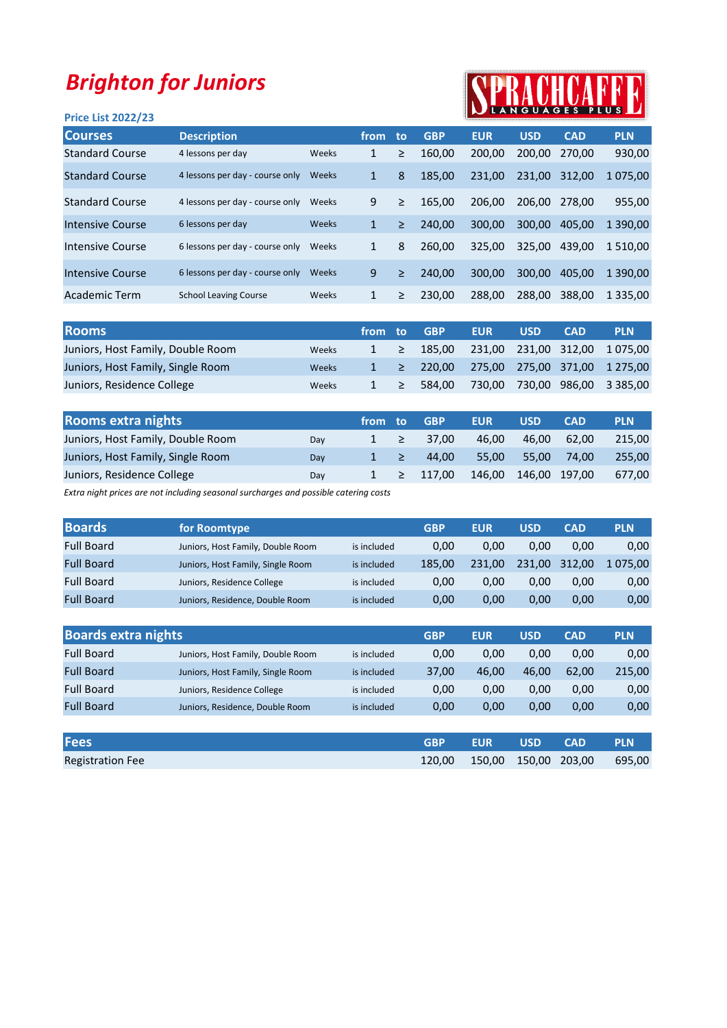## Brighton for Juniors

## Price List 2022/23

## SPRACHCARF

| <b>Courses</b>         | <b>Description</b>              |       | from to      |   | <b>GBP</b> | <b>EUR</b> | <b>USD</b> | <b>CAD</b> | <b>PLN</b>  |
|------------------------|---------------------------------|-------|--------------|---|------------|------------|------------|------------|-------------|
| <b>Standard Course</b> | 4 lessons per day               | Weeks | 1            | ≥ | 160.00     | 200.00     | 200.00     | 270.00     | 930,00      |
| <b>Standard Course</b> | 4 lessons per day - course only | Weeks | 1            | 8 | 185.00     | 231.00     | 231.00     | 312.00     | 1 075,00    |
| <b>Standard Course</b> | 4 lessons per day - course only | Weeks | 9            | ≥ | 165.00     | 206.00     | 206.00     | 278.00     | 955,00      |
| Intensive Course       | 6 lessons per day               | Weeks | $\mathbf{1}$ | ≥ | 240.00     | 300.00     | 300.00     | 405.00     | 1 390,00    |
| Intensive Course       | 6 lessons per day - course only | Weeks | 1            | 8 | 260.00     | 325,00     | 325.00     | 439.00     | 1 510.00    |
| Intensive Course       | 6 lessons per day - course only | Weeks | 9            | ≥ | 240.00     | 300.00     | 300.00     | 405.00     | 1 390.00    |
| Academic Term          | <b>School Leaving Course</b>    | Weeks | 1            | ≥ | 230,00     | 288,00     | 288.00     | 388,00     | 1 3 3 5 .00 |
|                        |                                 |       |              |   |            |            |            |            |             |

| <b>Rooms</b>                      |       | from to |        | <b>GBP</b> | <b>EUR</b> | <b>USD</b> | <b>CAD</b> | <b>PLN</b>                                                       |
|-----------------------------------|-------|---------|--------|------------|------------|------------|------------|------------------------------------------------------------------|
| Juniors, Host Family, Double Room | Weeks |         |        |            |            |            |            | $1 \geq 185,00$ 231,00 231,00 312,00 1 075,00                    |
| Juniors, Host Family, Single Room | Weeks |         |        |            |            |            |            | $1 \geq 220,00 \geq 275,00 \geq 275,00 \geq 371,00 \geq 1275,00$ |
| Juniors, Residence College        | Weeks |         | $\geq$ | 584.00     | 730.00     | 730,00     |            | 986,00 3 385,00                                                  |

| <b>Rooms extra nights</b>         |     | ∕from∡ | to:    | <b>GBP</b> | <b>EUR</b> | <b>USD</b>    | <b>CAD</b> | <b>PLN</b> |
|-----------------------------------|-----|--------|--------|------------|------------|---------------|------------|------------|
| Juniors, Host Family, Double Room | Dav |        | $\geq$ | 37.00      | 46.00      | 46.00         | 62.00      | 215.00     |
| Juniors, Host Family, Single Room | Dav |        | ∕ 27   | 44.00      | 55.00      | 55.00         | 74.00      | 255.00     |
| Juniors, Residence College        | Day |        | >      | 117.00     | 146.00     | 146,00 197,00 |            | 677.00     |

Extra night prices are not including seasonal surcharges and possible catering costs

| <b>Boards</b>     | for Roomtype                      |             | <b>GBP</b> | <b>EUR</b> | <b>USD</b> | <b>CAD</b> | <b>PLN</b> |
|-------------------|-----------------------------------|-------------|------------|------------|------------|------------|------------|
| <b>Full Board</b> | Juniors, Host Family, Double Room | is included | 0.00       | 0.00       | 0.00       | 0.00       | 0,00       |
| <b>Full Board</b> | Juniors, Host Family, Single Room | is included | 185.00     | 231.00     | 231.00     | 312.00     | 1 075.00   |
| <b>Full Board</b> | Juniors, Residence College        | is included | 0.00       | 0.00       | 0.00       | 0.00       | 0,00       |
| <b>Full Board</b> | Juniors, Residence, Double Room   | is included | 0.00       | 0.00       | 0.00       | 0.00       | 0,00       |

| <b>Boards extra nights</b> |                                   |             | <b>GBP</b> | <b>EUR</b> | <b>USD</b> | <b>CAD</b> | <b>PLN</b> |
|----------------------------|-----------------------------------|-------------|------------|------------|------------|------------|------------|
| <b>Full Board</b>          | Juniors, Host Family, Double Room | is included | 0,00       | 0.00       | 0.00       | 0.00       | 0,00       |
| <b>Full Board</b>          | Juniors, Host Family, Single Room | is included | 37,00      | 46.00      | 46.00      | 62.00      | 215,00     |
| <b>Full Board</b>          | Juniors, Residence College        | is included | 0,00       | 0.00       | 0.00       | 0.00       | 0,00       |
| <b>Full Board</b>          | Juniors, Residence, Double Room   | is included | 0,00       | 0.00       | 0.00       | 0,00       | 0,00       |
|                            |                                   |             |            |            |            |            |            |

| <b>Fees</b>             | <b>GRP</b> | <b>LEUR</b> | l USD' | <b>CAD</b>                         | <b>PLN</b> |
|-------------------------|------------|-------------|--------|------------------------------------|------------|
| <b>Registration Fee</b> |            |             |        | 120,00 150,00 150,00 203,00 695,00 |            |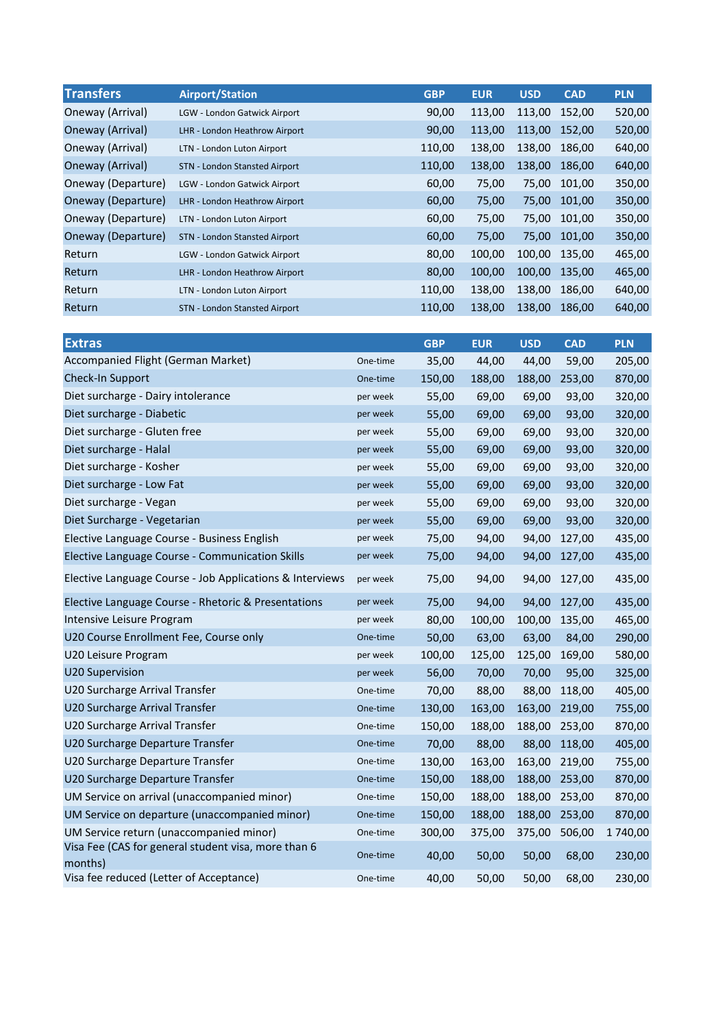| <b>Transfers</b>   | <b>Airport/Station</b>               | <b>GBP</b> | <b>EUR</b> | <b>USD</b> | <b>CAD</b> | <b>PLN</b> |
|--------------------|--------------------------------------|------------|------------|------------|------------|------------|
| Oneway (Arrival)   | LGW - London Gatwick Airport         | 90,00      | 113,00     | 113,00     | 152,00     | 520,00     |
| Oneway (Arrival)   | LHR - London Heathrow Airport        | 90,00      | 113,00     | 113,00     | 152.00     | 520,00     |
| Oneway (Arrival)   | LTN - London Luton Airport           | 110,00     | 138,00     | 138,00     | 186,00     | 640,00     |
| Oneway (Arrival)   | STN - London Stansted Airport        | 110,00     | 138,00     | 138.00     | 186.00     | 640,00     |
| Oneway (Departure) | LGW - London Gatwick Airport         | 60,00      | 75,00      | 75,00      | 101.00     | 350,00     |
| Oneway (Departure) | LHR - London Heathrow Airport        | 60,00      | 75,00      | 75,00      | 101,00     | 350,00     |
| Oneway (Departure) | LTN - London Luton Airport           | 60,00      | 75,00      | 75,00      | 101.00     | 350,00     |
| Oneway (Departure) | <b>STN - London Stansted Airport</b> | 60,00      | 75,00      | 75,00      | 101.00     | 350,00     |
| Return             | LGW - London Gatwick Airport         | 80,00      | 100,00     | 100,00     | 135,00     | 465,00     |
| Return             | LHR - London Heathrow Airport        | 80,00      | 100,00     | 100,00     | 135,00     | 465,00     |
| Return             | LTN - London Luton Airport           | 110,00     | 138,00     | 138.00     | 186.00     | 640,00     |
| Return             | <b>STN - London Stansted Airport</b> | 110,00     | 138.00     | 138.00     | 186.00     | 640,00     |

| <b>Extras</b>                                                  |          | <b>GBP</b> | <b>EUR</b> | <b>USD</b>    | <b>CAD</b> | <b>PLN</b> |
|----------------------------------------------------------------|----------|------------|------------|---------------|------------|------------|
| Accompanied Flight (German Market)                             | One-time | 35,00      | 44,00      | 44,00         | 59,00      | 205,00     |
| Check-In Support                                               | One-time | 150,00     | 188,00     | 188,00        | 253,00     | 870,00     |
| Diet surcharge - Dairy intolerance                             | per week | 55,00      | 69,00      | 69,00         | 93,00      | 320,00     |
| Diet surcharge - Diabetic                                      | per week | 55,00      | 69,00      | 69,00         | 93,00      | 320,00     |
| Diet surcharge - Gluten free                                   | per week | 55,00      | 69,00      | 69,00         | 93,00      | 320,00     |
| Diet surcharge - Halal                                         | per week | 55,00      | 69,00      | 69,00         | 93,00      | 320,00     |
| Diet surcharge - Kosher                                        | per week | 55,00      | 69,00      | 69,00         | 93,00      | 320,00     |
| Diet surcharge - Low Fat                                       | per week | 55,00      | 69,00      | 69,00         | 93,00      | 320,00     |
| Diet surcharge - Vegan                                         | per week | 55,00      | 69,00      | 69,00         | 93,00      | 320,00     |
| Diet Surcharge - Vegetarian                                    | per week | 55,00      | 69,00      | 69,00         | 93,00      | 320,00     |
| Elective Language Course - Business English                    | per week | 75,00      | 94,00      | 94,00         | 127,00     | 435,00     |
| Elective Language Course - Communication Skills                | per week | 75,00      | 94,00      | 94,00         | 127,00     | 435,00     |
| Elective Language Course - Job Applications & Interviews       | per week | 75,00      | 94,00      | 94,00         | 127,00     | 435,00     |
| Elective Language Course - Rhetoric & Presentations            | per week | 75,00      | 94,00      | 94,00         | 127,00     | 435,00     |
| Intensive Leisure Program                                      | per week | 80,00      | 100,00     | 100,00        | 135,00     | 465,00     |
| U20 Course Enrollment Fee, Course only                         | One-time | 50,00      | 63,00      | 63,00         | 84,00      | 290,00     |
| U20 Leisure Program                                            | per week | 100,00     | 125,00     | 125,00        | 169,00     | 580,00     |
| U20 Supervision                                                | per week | 56,00      | 70,00      | 70,00         | 95,00      | 325,00     |
| U20 Surcharge Arrival Transfer                                 | One-time | 70,00      | 88,00      | 88,00         | 118,00     | 405,00     |
| U20 Surcharge Arrival Transfer                                 | One-time | 130,00     | 163,00     | 163,00 219,00 |            | 755,00     |
| U20 Surcharge Arrival Transfer                                 | One-time | 150,00     | 188,00     | 188,00        | 253,00     | 870,00     |
| U20 Surcharge Departure Transfer                               | One-time | 70,00      | 88,00      | 88,00         | 118,00     | 405,00     |
| U20 Surcharge Departure Transfer                               | One-time | 130,00     | 163,00     | 163,00        | 219,00     | 755,00     |
| U20 Surcharge Departure Transfer                               | One-time | 150,00     | 188,00     | 188,00        | 253,00     | 870,00     |
| UM Service on arrival (unaccompanied minor)                    | One-time | 150,00     | 188,00     | 188,00        | 253,00     | 870,00     |
| UM Service on departure (unaccompanied minor)                  | One-time | 150,00     | 188,00     | 188,00        | 253,00     | 870,00     |
| UM Service return (unaccompanied minor)                        | One-time | 300,00     | 375,00     | 375,00        | 506,00     | 1740,00    |
| Visa Fee (CAS for general student visa, more than 6<br>months) | One-time | 40,00      | 50,00      | 50,00         | 68,00      | 230,00     |
| Visa fee reduced (Letter of Acceptance)                        | One-time | 40,00      | 50,00      | 50,00         | 68,00      | 230,00     |